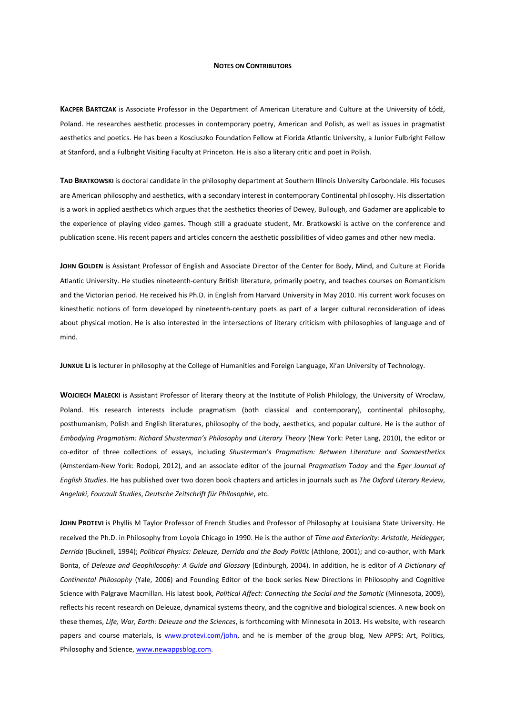## **NOTES ON CONTRIBUTORS**

**KACPER BARTCZAK** is Associate Professor in the Department of American Literature and Culture at the University of Łódź, Poland. He researches aesthetic processes in contemporary poetry, American and Polish, as well as issues in pragmatist aesthetics and poetics. He has been a Kosciuszko Foundation Fellow at Florida Atlantic University, a Junior Fulbright Fellow at Stanford, and a Fulbright Visiting Faculty at Princeton. He is also a literary critic and poet in Polish.

**TAD BRATKOWSKI** is doctoral candidate in the philosophy department at Southern Illinois University Carbondale. His focuses are American philosophy and aesthetics, with a secondary interest in contemporary Continental philosophy. His dissertation is a work in applied aesthetics which argues that the aesthetics theories of Dewey, Bullough, and Gadamer are applicable to the experience of playing video games. Though still a graduate student, Mr. Bratkowski is active on the conference and publication scene. His recent papers and articles concern the aesthetic possibilities of video games and other new media.

**JOHN GOLDEN** is Assistant Professor of English and Associate Director of the Center for Body, Mind, and Culture at Florida Atlantic University. He studies nineteenth-century British literature, primarily poetry, and teaches courses on Romanticism and the Victorian period. He received his Ph.D. in English from Harvard University in May 2010. His current work focuses on kinesthetic notions of form developed by nineteenth-century poets as part of a larger cultural reconsideration of ideas about physical motion. He is also interested in the intersections of literary criticism with philosophies of language and of mind.

**JUNXUE LI** i**s** lecturer in philosophy at the College of Humanities and Foreign Language, Xi'an University of Technology.

**WOJCIECH MAŁECKI** is Assistant Professor of literary theory at the Institute of Polish Philology, the University of Wrocław, Poland. His research interests include pragmatism (both classical and contemporary), continental philosophy, posthumanism, Polish and English literatures, philosophy of the body, aesthetics, and popular culture. He is the author of *Embodying Pragmatism: Richard Shusterman's Philosophy and Literary Theory* (New York: Peter Lang, 2010), the editor or co-editor of three collections of essays, including *Shusterman's Pragmatism: Between Literature and Somaesthetics* (Amsterdam-New York: Rodopi, 2012), and an associate editor of the journal *Pragmatism Today* and the *Eger Journal of English Studies*. He has published over two dozen book chapters and articles in journals such as *The Oxford Literary Review*, *Angelaki*, *Foucault Studies*, *Deutsche Zeitschrift für Philosophie*, etc.

**JOHN PROTEVI** is Phyllis M Taylor Professor of French Studies and Professor of Philosophy at Louisiana State University. He received the Ph.D. in Philosophy from Loyola Chicago in 1990. He is the author of *Time and Exteriority: Aristotle, Heidegger, Derrida* (Bucknell, 1994); *Political Physics: Deleuze, Derrida and the Body Politic* (Athlone, 2001); and co-author, with Mark Bonta, of *Deleuze and Geophilosophy: A Guide and Glossary* (Edinburgh, 2004). In addition, he is editor of *A Dictionary of Continental Philosophy* (Yale, 2006) and Founding Editor of the book series New Directions in Philosophy and Cognitive Science with Palgrave Macmillan. His latest book, *Political Affect: Connecting the Social and the Somatic* (Minnesota, 2009), reflects his recent research on Deleuze, dynamical systems theory, and the cognitive and biological sciences. A new book on these themes, *Life, War, Earth: Deleuze and the Sciences*, is forthcoming with Minnesota in 2013. His website, with research papers and course materials, is www.protevi.com/john, and he is member of the group blog, New APPS: Art, Politics, Philosophy and Science, www.newappsblog.com.